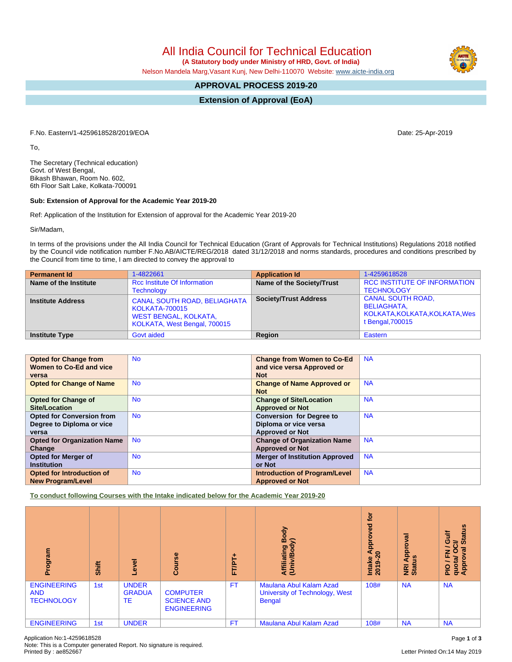All India Council for Technical Education

 **(A Statutory body under Ministry of HRD, Govt. of India)**

Nelson Mandela Marg,Vasant Kunj, New Delhi-110070 Website: [www.aicte-india.org](http://www.aicte-india.org)

## **APPROVAL PROCESS 2019-20**

**Extension of Approval (EoA)**

F.No. Eastern/1-4259618528/2019/EOA Date: 25-Apr-2019

To,

The Secretary (Technical education) Govt. of West Bengal, Bikash Bhawan, Room No. 602, 6th Floor Salt Lake, Kolkata-700091

## **Sub: Extension of Approval for the Academic Year 2019-20**

Ref: Application of the Institution for Extension of approval for the Academic Year 2019-20

Sir/Madam,

In terms of the provisions under the All India Council for Technical Education (Grant of Approvals for Technical Institutions) Regulations 2018 notified by the Council vide notification number F.No.AB/AICTE/REG/2018 dated 31/12/2018 and norms standards, procedures and conditions prescribed by the Council from time to time, I am directed to convey the approval to

| <b>Permanent Id</b>      | 1-4822661                                                                                                                    | <b>Application Id</b>        | 1-4259618528                                                                                  |
|--------------------------|------------------------------------------------------------------------------------------------------------------------------|------------------------------|-----------------------------------------------------------------------------------------------|
| Name of the Institute    | <b>Rcc Institute Of Information</b><br><b>Technology</b>                                                                     | Name of the Society/Trust    | RCC INSTITUTE OF INFORMATION<br><b>TECHNOLOGY</b>                                             |
| <b>Institute Address</b> | <b>CANAL SOUTH ROAD, BELIAGHATA</b><br><b>KOLKATA-700015</b><br><b>WEST BENGAL, KOLKATA,</b><br>KOLKATA, West Bengal, 700015 | <b>Society/Trust Address</b> | <b>CANAL SOUTH ROAD,</b><br>BELIAGHATA,<br>KOLKATA, KOLKATA, KOLKATA, Wes<br>t Bengal, 700015 |
| <b>Institute Type</b>    | Govt aided                                                                                                                   | Region                       | Eastern                                                                                       |

| <b>Opted for Change from</b>       | <b>No</b> | <b>Change from Women to Co-Ed</b>     | <b>NA</b> |
|------------------------------------|-----------|---------------------------------------|-----------|
| Women to Co-Ed and vice            |           | and vice versa Approved or            |           |
| versa                              |           | <b>Not</b>                            |           |
| <b>Opted for Change of Name</b>    | <b>No</b> | <b>Change of Name Approved or</b>     | <b>NA</b> |
|                                    |           | <b>Not</b>                            |           |
| <b>Opted for Change of</b>         | <b>No</b> | <b>Change of Site/Location</b>        | <b>NA</b> |
| Site/Location                      |           | <b>Approved or Not</b>                |           |
| <b>Opted for Conversion from</b>   | <b>No</b> | <b>Conversion for Degree to</b>       | <b>NA</b> |
| Degree to Diploma or vice          |           | Diploma or vice versa                 |           |
| versa                              |           | <b>Approved or Not</b>                |           |
| <b>Opted for Organization Name</b> | <b>No</b> | <b>Change of Organization Name</b>    | <b>NA</b> |
| Change                             |           | <b>Approved or Not</b>                |           |
| <b>Opted for Merger of</b>         | <b>No</b> | <b>Merger of Institution Approved</b> | <b>NA</b> |
| <b>Institution</b>                 |           | or Not                                |           |
| Opted for Introduction of          | <b>No</b> | <b>Introduction of Program/Level</b>  | <b>NA</b> |
| <b>New Program/Level</b>           |           | <b>Approved or Not</b>                |           |

**To conduct following Courses with the Intake indicated below for the Academic Year 2019-20**

| rogram<br>ō                                           | Shift | Level                               | Course                                                      | ٠<br><b>FT/PT</b> | Body<br>≲<br>Affiliating<br>(Univ/Bod <sub>)</sub>                         | <b>b</b><br>yed<br>Appro<br>っ<br>Intake<br>2019 | ह<br>ē<br><b>Appl</b><br><u>ળ</u><br><b>NE</b><br>Stat | <b>Status</b><br><b>Gulf</b><br>ಕ<br>$\overline{5}$<br>E <sup>O</sup><br>PIO / F<br>quota/<br>Approv |
|-------------------------------------------------------|-------|-------------------------------------|-------------------------------------------------------------|-------------------|----------------------------------------------------------------------------|-------------------------------------------------|--------------------------------------------------------|------------------------------------------------------------------------------------------------------|
| <b>ENGINEERING</b><br><b>AND</b><br><b>TECHNOLOGY</b> | 1st   | <b>UNDER</b><br><b>GRADUA</b><br>TE | <b>COMPUTER</b><br><b>SCIENCE AND</b><br><b>ENGINEERING</b> | <b>FT</b>         | Maulana Abul Kalam Azad<br>University of Technology, West<br><b>Bengal</b> | 108#                                            | <b>NA</b>                                              | <b>NA</b>                                                                                            |
| <b>ENGINEERING</b>                                    | 1st   | <b>UNDER</b>                        |                                                             | <b>FT</b>         | <b>Maulana Abul Kalam Azad</b>                                             | 108#                                            | <b>NA</b>                                              | <b>NA</b>                                                                                            |

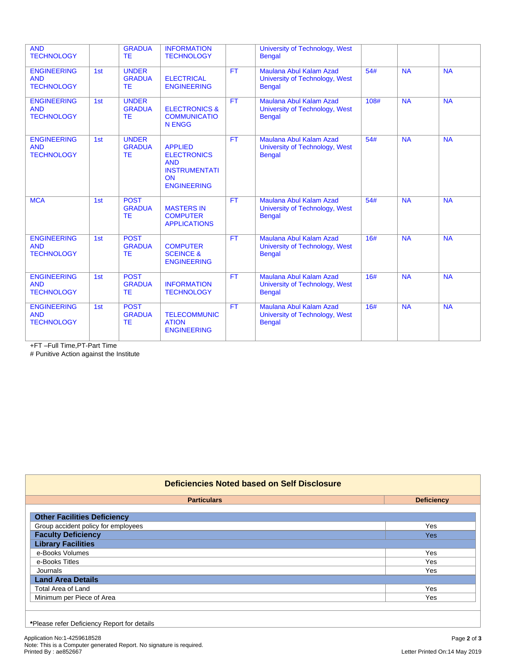| <b>AND</b><br><b>TECHNOLOGY</b>                       |     | <b>GRADUA</b><br><b>TE</b>                 | <b>INFORMATION</b><br><b>TECHNOLOGY</b>                                                                       |           | University of Technology, West<br><b>Bengal</b>                            |      |           |           |
|-------------------------------------------------------|-----|--------------------------------------------|---------------------------------------------------------------------------------------------------------------|-----------|----------------------------------------------------------------------------|------|-----------|-----------|
| <b>ENGINEERING</b><br><b>AND</b><br><b>TECHNOLOGY</b> | 1st | <b>UNDER</b><br><b>GRADUA</b><br><b>TE</b> | <b>ELECTRICAL</b><br><b>ENGINEERING</b>                                                                       | <b>FT</b> | Maulana Abul Kalam Azad<br>University of Technology, West<br><b>Bengal</b> | 54#  | <b>NA</b> | <b>NA</b> |
| <b>ENGINEERING</b><br><b>AND</b><br><b>TECHNOLOGY</b> | 1st | <b>UNDER</b><br><b>GRADUA</b><br><b>TE</b> | <b>ELECTRONICS &amp;</b><br><b>COMMUNICATIO</b><br><b>N ENGG</b>                                              | <b>FT</b> | Maulana Abul Kalam Azad<br>University of Technology, West<br><b>Bengal</b> | 108# | <b>NA</b> | <b>NA</b> |
| <b>ENGINEERING</b><br><b>AND</b><br><b>TECHNOLOGY</b> | 1st | <b>UNDER</b><br><b>GRADUA</b><br><b>TE</b> | <b>APPLIED</b><br><b>ELECTRONICS</b><br><b>AND</b><br><b>INSTRUMENTATI</b><br><b>ON</b><br><b>ENGINEERING</b> | <b>FT</b> | Maulana Abul Kalam Azad<br>University of Technology, West<br><b>Bengal</b> | 54#  | <b>NA</b> | <b>NA</b> |
| <b>MCA</b>                                            | 1st | <b>POST</b><br><b>GRADUA</b><br><b>TE</b>  | <b>MASTERS IN</b><br><b>COMPUTER</b><br><b>APPLICATIONS</b>                                                   | <b>FT</b> | Maulana Abul Kalam Azad<br>University of Technology, West<br><b>Bengal</b> | 54#  | <b>NA</b> | <b>NA</b> |
| <b>ENGINEERING</b><br><b>AND</b><br><b>TECHNOLOGY</b> | 1st | <b>POST</b><br><b>GRADUA</b><br><b>TE</b>  | <b>COMPUTER</b><br><b>SCEINCE &amp;</b><br><b>ENGINEERING</b>                                                 | <b>FT</b> | Maulana Abul Kalam Azad<br>University of Technology, West<br><b>Bengal</b> | 16#  | <b>NA</b> | <b>NA</b> |
| <b>ENGINEERING</b><br><b>AND</b><br><b>TECHNOLOGY</b> | 1st | <b>POST</b><br><b>GRADUA</b><br><b>TE</b>  | <b>INFORMATION</b><br><b>TECHNOLOGY</b>                                                                       | <b>FT</b> | Maulana Abul Kalam Azad<br>University of Technology, West<br><b>Bengal</b> | 16#  | <b>NA</b> | <b>NA</b> |
| <b>ENGINEERING</b><br><b>AND</b><br><b>TECHNOLOGY</b> | 1st | <b>POST</b><br><b>GRADUA</b><br><b>TE</b>  | <b>TELECOMMUNIC</b><br><b>ATION</b><br><b>ENGINEERING</b>                                                     | <b>FT</b> | Maulana Abul Kalam Azad<br>University of Technology, West<br><b>Bengal</b> | 16#  | <b>NA</b> | <b>NA</b> |

+FT –Full Time,PT-Part Time

# Punitive Action against the Institute

| Deficiencies Noted based on Self Disclosure |                   |  |  |  |  |  |
|---------------------------------------------|-------------------|--|--|--|--|--|
| <b>Particulars</b>                          | <b>Deficiency</b> |  |  |  |  |  |
| <b>Other Facilities Deficiency</b>          |                   |  |  |  |  |  |
| Group accident policy for employees         | <b>Yes</b>        |  |  |  |  |  |
| <b>Faculty Deficiency</b>                   | <b>Yes</b>        |  |  |  |  |  |
| <b>Library Facilities</b>                   |                   |  |  |  |  |  |
| e-Books Volumes                             | <b>Yes</b>        |  |  |  |  |  |
| e-Books Titles                              | <b>Yes</b>        |  |  |  |  |  |
| Journals                                    | Yes               |  |  |  |  |  |
| <b>Land Area Details</b>                    |                   |  |  |  |  |  |
| Total Area of Land                          | <b>Yes</b>        |  |  |  |  |  |
| Minimum per Piece of Area                   | Yes               |  |  |  |  |  |
|                                             |                   |  |  |  |  |  |

**\***Please refer Deficiency Report for details